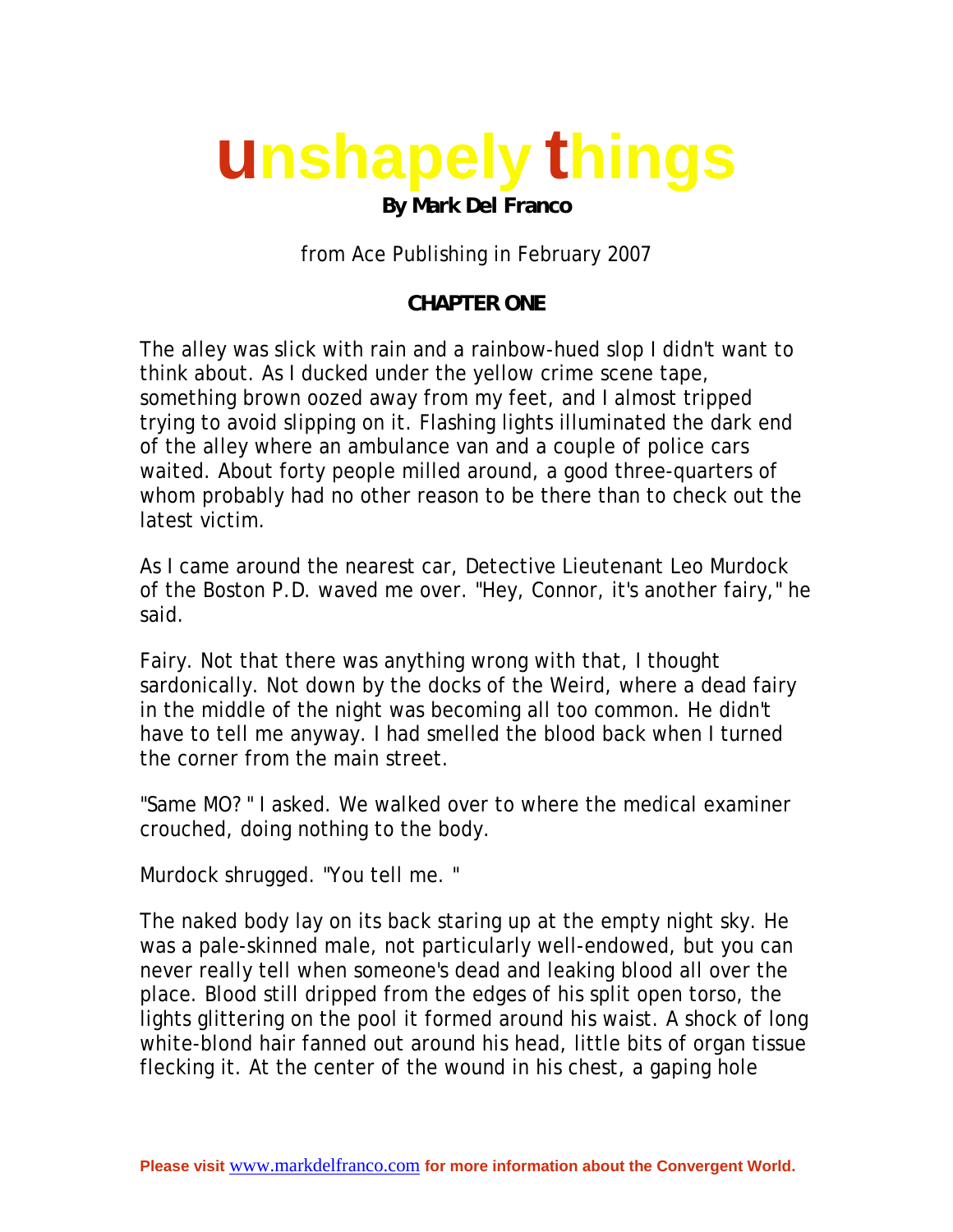# **unshapely things**

# **By Mark Del Franco**

from Ace Publishing in February 2007

# **CHAPTER ONE**

The alley was slick with rain and a rainbow-hued slop I didn't want to think about. As I ducked under the yellow crime scene tape, something brown oozed away from my feet, and I almost tripped trying to avoid slipping on it. Flashing lights illuminated the dark end of the alley where an ambulance van and a couple of police cars waited. About forty people milled around, a good three-quarters of whom probably had no other reason to be there than to check out the latest victim.

As I came around the nearest car, Detective Lieutenant Leo Murdock of the Boston P.D. waved me over. "Hey, Connor, it's another fairy," he said.

Fairy. Not that there was anything wrong with that, I thought sardonically. Not down by the docks of the Weird, where a dead fairy in the middle of the night was becoming all too common. He didn't have to tell me anyway. I had smelled the blood back when I turned the corner from the main street.

"Same MO? " I asked. We walked over to where the medical examiner crouched, doing nothing to the body.

Murdock shrugged. "You tell me. "

The naked body lay on its back staring up at the empty night sky. He was a pale-skinned male, not particularly well-endowed, but you can never really tell when someone's dead and leaking blood all over the place. Blood still dripped from the edges of his split open torso, the lights glittering on the pool it formed around his waist. A shock of long white-blond hair fanned out around his head, little bits of organ tissue flecking it. At the center of the wound in his chest, a gaping hole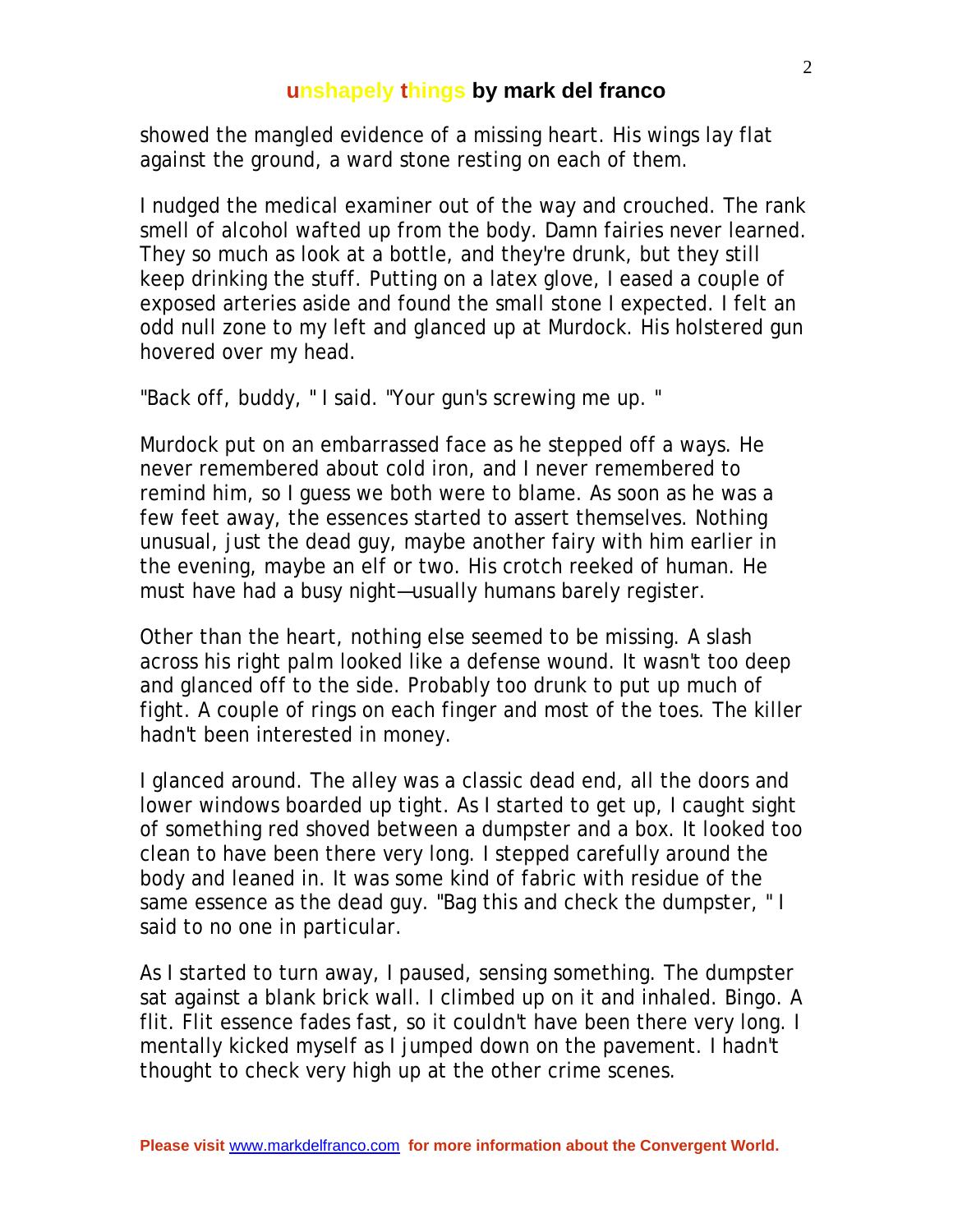showed the mangled evidence of a missing heart. His wings lay flat against the ground, a ward stone resting on each of them.

I nudged the medical examiner out of the way and crouched. The rank smell of alcohol wafted up from the body. Damn fairies never learned. They so much as look at a bottle, and they're drunk, but they still keep drinking the stuff. Putting on a latex glove, I eased a couple of exposed arteries aside and found the small stone I expected. I felt an odd null zone to my left and glanced up at Murdock. His holstered gun hovered over my head.

"Back off, buddy, " I said. "Your gun's screwing me up. "

Murdock put on an embarrassed face as he stepped off a ways. He never remembered about cold iron, and I never remembered to remind him, so I guess we both were to blame. As soon as he was a few feet away, the essences started to assert themselves. Nothing unusual, just the dead guy, maybe another fairy with him earlier in the evening, maybe an elf or two. His crotch reeked of human. He must have had a busy night—usually humans barely register.

Other than the heart, nothing else seemed to be missing. A slash across his right palm looked like a defense wound. It wasn't too deep and glanced off to the side. Probably too drunk to put up much of fight. A couple of rings on each finger and most of the toes. The killer hadn't been interested in money.

I glanced around. The alley was a classic dead end, all the doors and lower windows boarded up tight. As I started to get up, I caught sight of something red shoved between a dumpster and a box. It looked too clean to have been there very long. I stepped carefully around the body and leaned in. It was some kind of fabric with residue of the same essence as the dead guy. "Bag this and check the dumpster, " I said to no one in particular.

As I started to turn away, I paused, sensing something. The dumpster sat against a blank brick wall. I climbed up on it and inhaled. Bingo. A flit. Flit essence fades fast, so it couldn't have been there very long. I mentally kicked myself as I jumped down on the pavement. I hadn't thought to check very high up at the other crime scenes.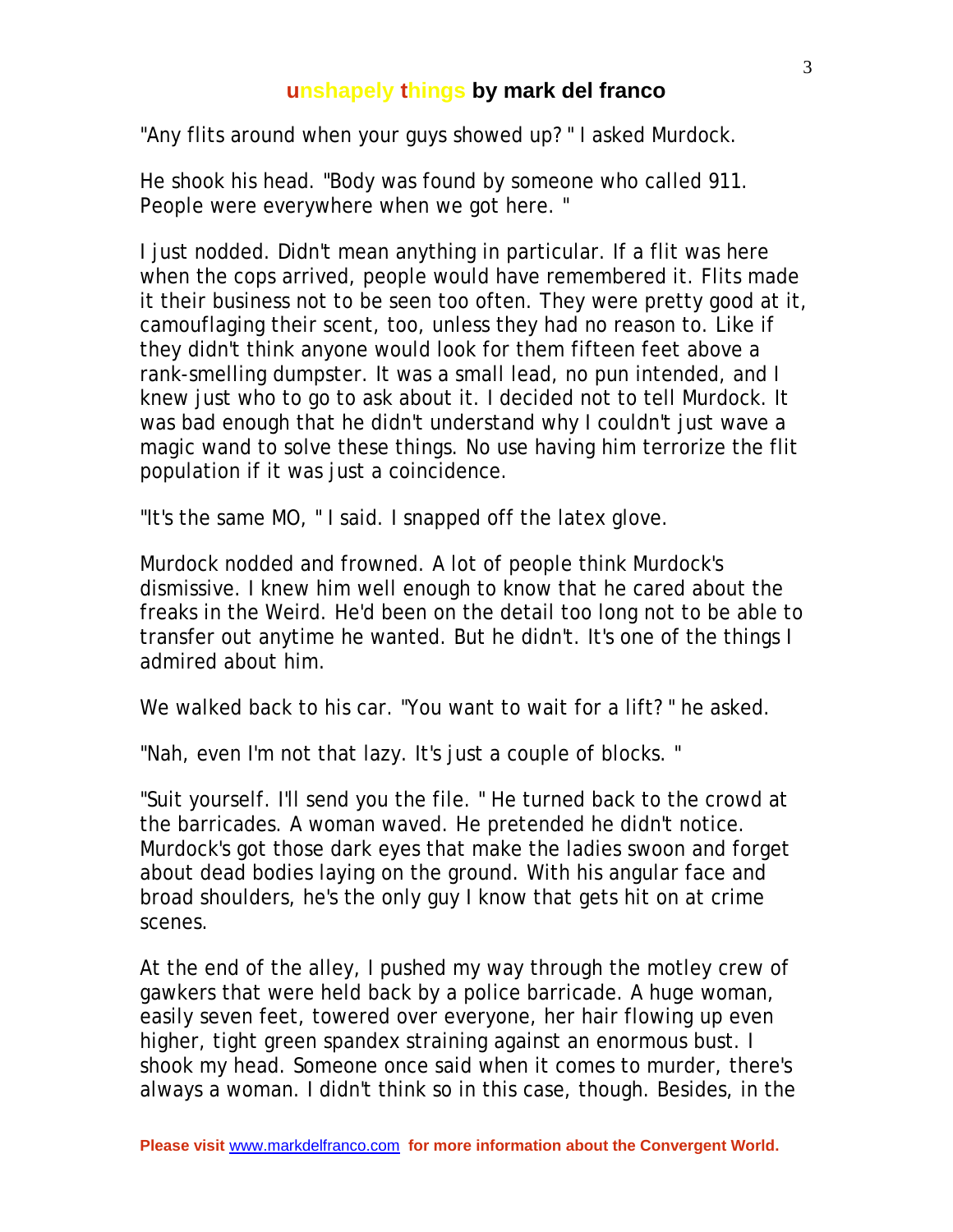"Any flits around when your guys showed up? " I asked Murdock.

He shook his head. "Body was found by someone who called 911. People were everywhere when we got here. "

I just nodded. Didn't mean anything in particular. If a flit was here when the cops arrived, people would have remembered it. Flits made it their business not to be seen too often. They were pretty good at it, camouflaging their scent, too, unless they had no reason to. Like if they didn't think anyone would look for them fifteen feet above a rank-smelling dumpster. It was a small lead, no pun intended, and I knew just who to go to ask about it. I decided not to tell Murdock. It was bad enough that he didn't understand why I couldn't just wave a magic wand to solve these things. No use having him terrorize the flit population if it was just a coincidence.

"It's the same MO, " I said. I snapped off the latex glove.

Murdock nodded and frowned. A lot of people think Murdock's dismissive. I knew him well enough to know that he cared about the freaks in the Weird. He'd been on the detail too long not to be able to transfer out anytime he wanted. But he didn't. It's one of the things I admired about him.

We walked back to his car. "You want to wait for a lift? " he asked.

"Nah, even I'm not that lazy. It's just a couple of blocks. "

"Suit yourself. I'll send you the file. " He turned back to the crowd at the barricades. A woman waved. He pretended he didn't notice. Murdock's got those dark eyes that make the ladies swoon and forget about dead bodies laying on the ground. With his angular face and broad shoulders, he's the only guy I know that gets hit on at crime scenes.

At the end of the alley, I pushed my way through the motley crew of gawkers that were held back by a police barricade. A huge woman, easily seven feet, towered over everyone, her hair flowing up even higher, tight green spandex straining against an enormous bust. I shook my head. Someone once said when it comes to murder, there's always a woman. I didn't think so in this case, though. Besides, in the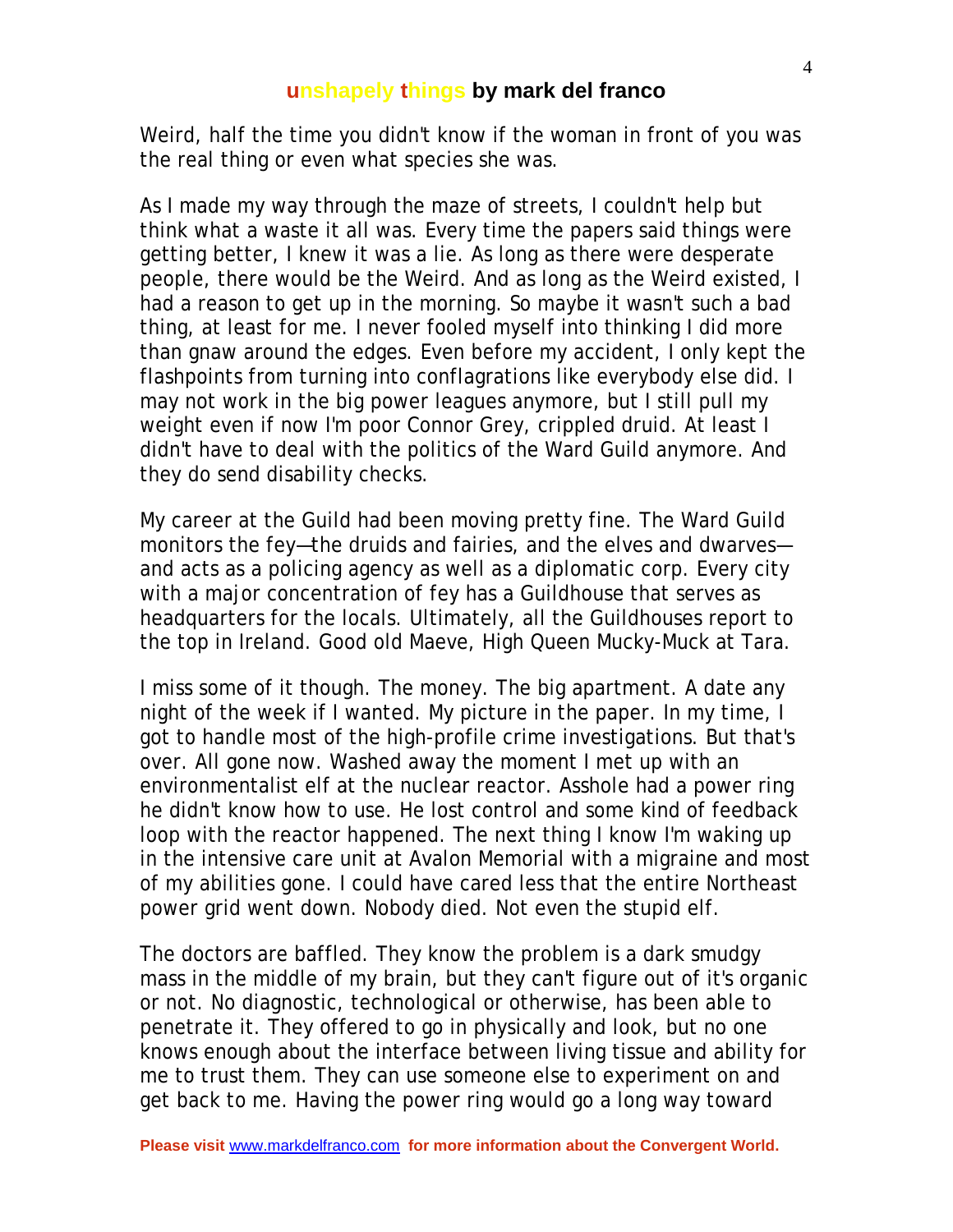Weird, half the time you didn't know if the woman in front of you was the real thing or even what species she was.

As I made my way through the maze of streets, I couldn't help but think what a waste it all was. Every time the papers said things were getting better, I knew it was a lie. As long as there were desperate people, there would be the Weird. And as long as the Weird existed, I had a reason to get up in the morning. So maybe it wasn't such a bad thing, at least for me. I never fooled myself into thinking I did more than gnaw around the edges. Even before my accident, I only kept the flashpoints from turning into conflagrations like everybody else did. I may not work in the big power leagues anymore, but I still pull my weight even if now I'm poor Connor Grey, crippled druid. At least I didn't have to deal with the politics of the Ward Guild anymore. And they do send disability checks.

My career at the Guild had been moving pretty fine. The Ward Guild monitors the fey—the druids and fairies, and the elves and dwarves and acts as a policing agency as well as a diplomatic corp. Every city with a major concentration of fey has a Guildhouse that serves as headquarters for the locals. Ultimately, all the Guildhouses report to the top in Ireland. Good old Maeve, High Queen Mucky-Muck at Tara.

I miss some of it though. The money. The big apartment. A date any night of the week if I wanted. My picture in the paper. In my time, I got to handle most of the high-profile crime investigations. But that's over. All gone now. Washed away the moment I met up with an environmentalist elf at the nuclear reactor. Asshole had a power ring he didn't know how to use. He lost control and some kind of feedback loop with the reactor happened. The next thing I know I'm waking up in the intensive care unit at Avalon Memorial with a migraine and most of my abilities gone. I could have cared less that the entire Northeast power grid went down. Nobody died. Not even the stupid elf.

The doctors are baffled. They know the problem is a dark smudgy mass in the middle of my brain, but they can't figure out of it's organic or not. No diagnostic, technological or otherwise, has been able to penetrate it. They offered to go in physically and look, but no one knows enough about the interface between living tissue and ability for me to trust them. They can use someone else to experiment on and get back to me. Having the power ring would go a long way toward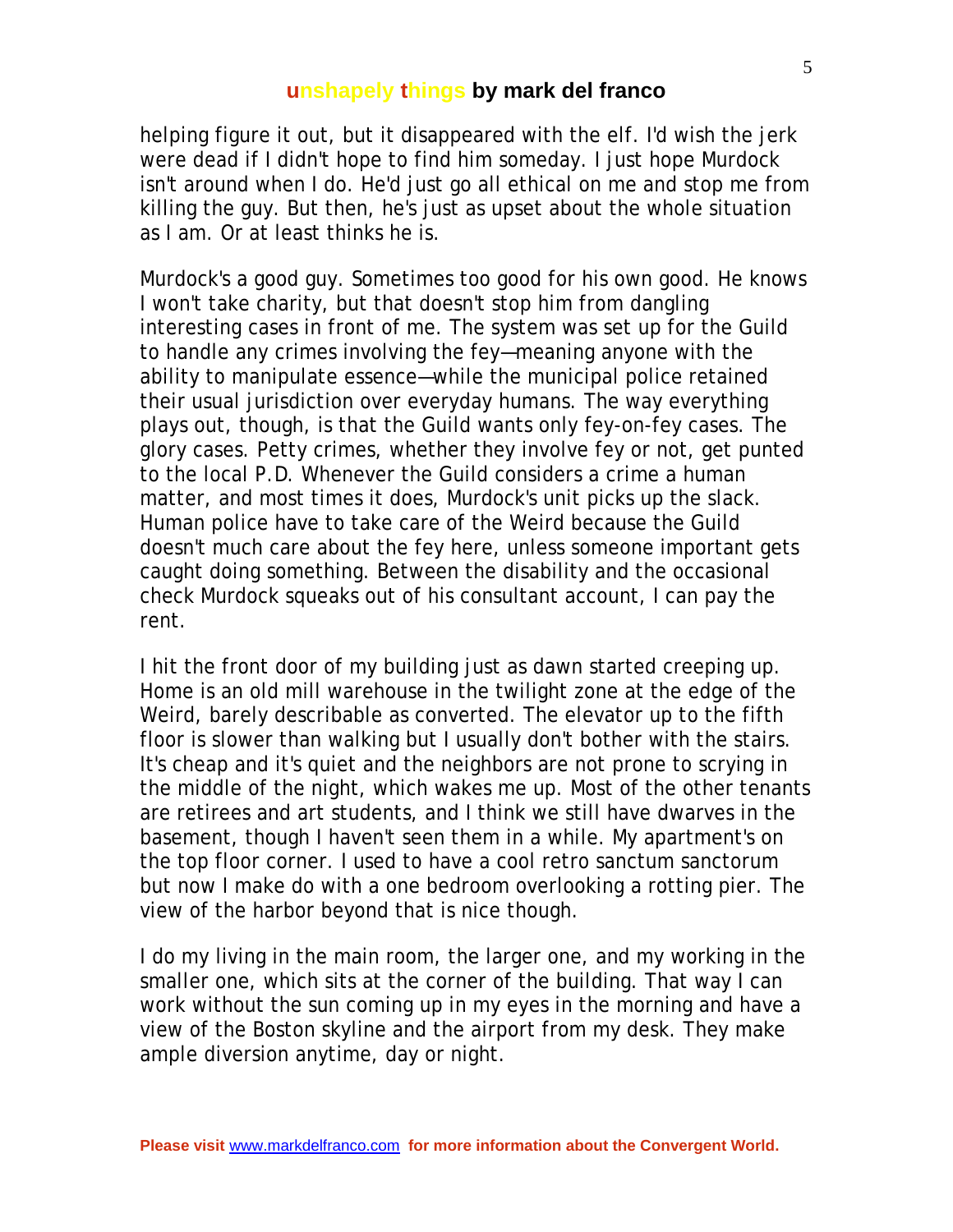helping figure it out, but it disappeared with the elf. I'd wish the jerk were dead if I didn't hope to find him someday. I just hope Murdock isn't around when I do. He'd just go all ethical on me and stop me from killing the guy. But then, he's just as upset about the whole situation as I am. Or at least thinks he is.

Murdock's a good guy. Sometimes too good for his own good. He knows I won't take charity, but that doesn't stop him from dangling interesting cases in front of me. The system was set up for the Guild to handle any crimes involving the fey—meaning anyone with the ability to manipulate essence—while the municipal police retained their usual jurisdiction over everyday humans. The way everything plays out, though, is that the Guild wants only fey-on-fey cases. The glory cases. Petty crimes, whether they involve fey or not, get punted to the local P.D. Whenever the Guild considers a crime a human matter, and most times it does, Murdock's unit picks up the slack. Human police have to take care of the Weird because the Guild doesn't much care about the fey here, unless someone important gets caught doing something. Between the disability and the occasional check Murdock squeaks out of his consultant account, I can pay the rent.

I hit the front door of my building just as dawn started creeping up. Home is an old mill warehouse in the twilight zone at the edge of the Weird, barely describable as converted. The elevator up to the fifth floor is slower than walking but I usually don't bother with the stairs. It's cheap and it's quiet and the neighbors are not prone to scrying in the middle of the night, which wakes me up. Most of the other tenants are retirees and art students, and I think we still have dwarves in the basement, though I haven't seen them in a while. My apartment's on the top floor corner. I used to have a cool retro sanctum sanctorum but now I make do with a one bedroom overlooking a rotting pier. The view of the harbor beyond that is nice though.

I do my living in the main room, the larger one, and my working in the smaller one, which sits at the corner of the building. That way I can work without the sun coming up in my eyes in the morning and have a view of the Boston skyline and the airport from my desk. They make ample diversion anytime, day or night.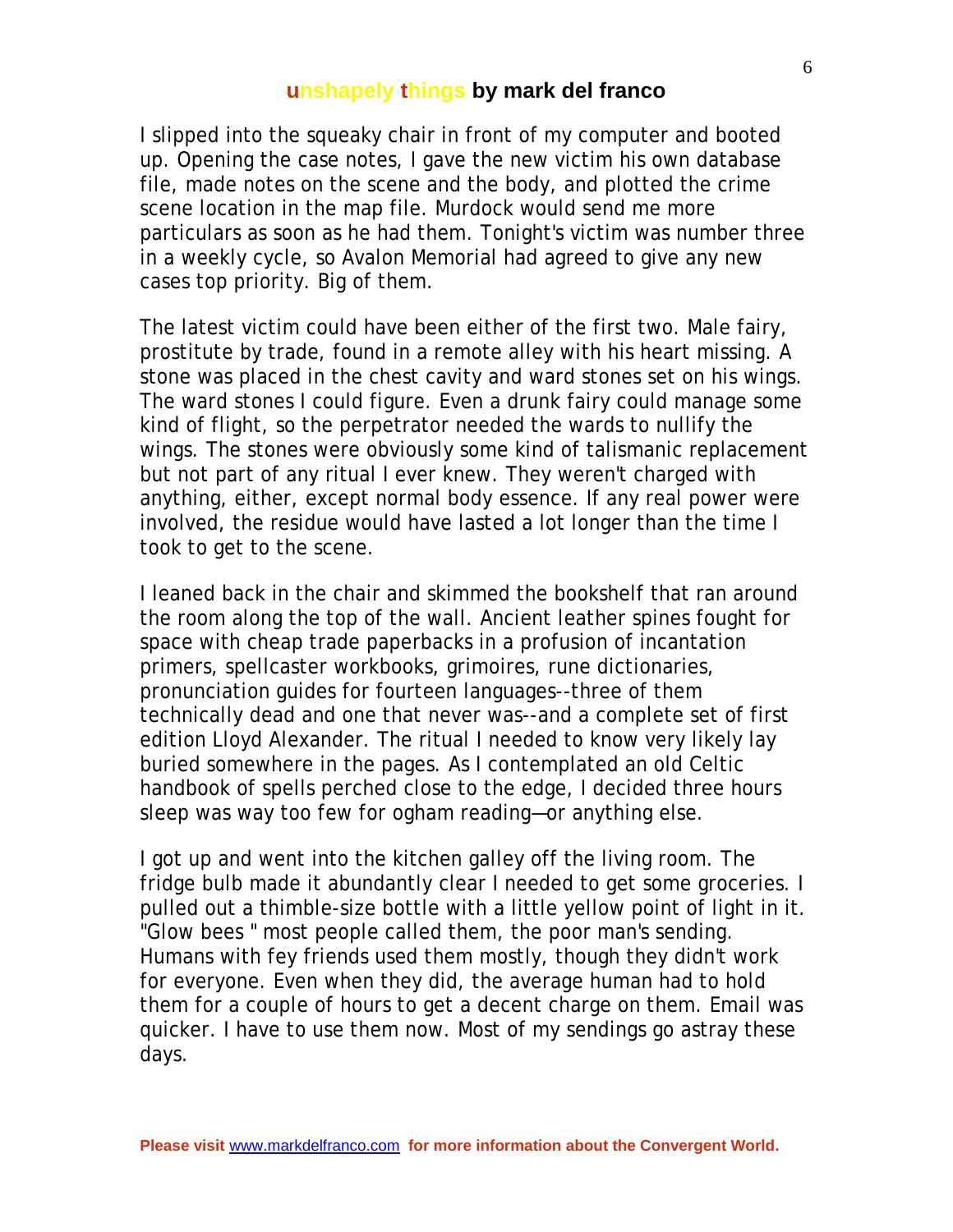I slipped into the squeaky chair in front of my computer and booted up. Opening the case notes, I gave the new victim his own database file, made notes on the scene and the body, and plotted the crime scene location in the map file. Murdock would send me more particulars as soon as he had them. Tonight's victim was number three in a weekly cycle, so Avalon Memorial had agreed to give any new cases top priority. Big of them.

The latest victim could have been either of the first two. Male fairy, prostitute by trade, found in a remote alley with his heart missing. A stone was placed in the chest cavity and ward stones set on his wings. The ward stones I could figure. Even a drunk fairy could manage some kind of flight, so the perpetrator needed the wards to nullify the wings. The stones were obviously some kind of talismanic replacement but not part of any ritual I ever knew. They weren't charged with anything, either, except normal body essence. If any real power were involved, the residue would have lasted a lot longer than the time I took to get to the scene.

I leaned back in the chair and skimmed the bookshelf that ran around the room along the top of the wall. Ancient leather spines fought for space with cheap trade paperbacks in a profusion of incantation primers, spellcaster workbooks, grimoires, rune dictionaries, pronunciation guides for fourteen languages--three of them technically dead and one that never was--and a complete set of first edition Lloyd Alexander. The ritual I needed to know very likely lay buried somewhere in the pages. As I contemplated an old Celtic handbook of spells perched close to the edge, I decided three hours sleep was way too few for ogham reading—or anything else.

I got up and went into the kitchen galley off the living room. The fridge bulb made it abundantly clear I needed to get some groceries. I pulled out a thimble-size bottle with a little yellow point of light in it. "Glow bees " most people called them, the poor man's sending. Humans with fey friends used them mostly, though they didn't work for everyone. Even when they did, the average human had to hold them for a couple of hours to get a decent charge on them. Email was quicker. I have to use them now. Most of my sendings go astray these days.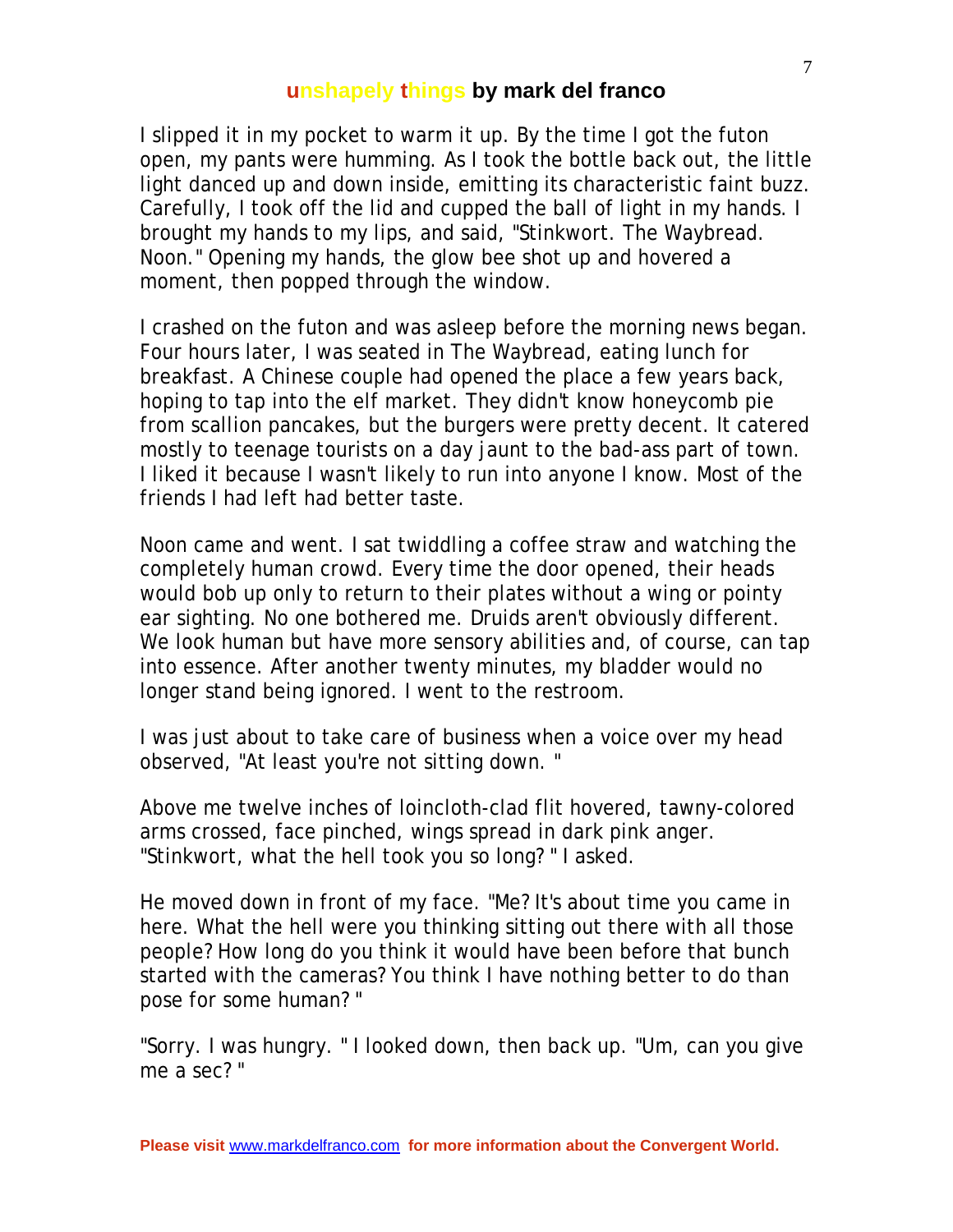I slipped it in my pocket to warm it up. By the time I got the futon open, my pants were humming. As I took the bottle back out, the little light danced up and down inside, emitting its characteristic faint buzz. Carefully, I took off the lid and cupped the ball of light in my hands. I brought my hands to my lips, and said, "Stinkwort. The Waybread. Noon." Opening my hands, the glow bee shot up and hovered a moment, then popped through the window.

I crashed on the futon and was asleep before the morning news began. Four hours later, I was seated in The Waybread, eating lunch for breakfast. A Chinese couple had opened the place a few years back, hoping to tap into the elf market. They didn't know honeycomb pie from scallion pancakes, but the burgers were pretty decent. It catered mostly to teenage tourists on a day jaunt to the bad-ass part of town. I liked it because I wasn't likely to run into anyone I know. Most of the friends I had left had better taste.

Noon came and went. I sat twiddling a coffee straw and watching the completely human crowd. Every time the door opened, their heads would bob up only to return to their plates without a wing or pointy ear sighting. No one bothered me. Druids aren't obviously different. We look human but have more sensory abilities and, of course, can tap into essence. After another twenty minutes, my bladder would no longer stand being ignored. I went to the restroom.

I was just about to take care of business when a voice over my head observed, "At least you're not sitting down. "

Above me twelve inches of loincloth-clad flit hovered, tawny-colored arms crossed, face pinched, wings spread in dark pink anger. "Stinkwort, what the hell took you so long? " I asked.

He moved down in front of my face. "Me? It's about time you came in here. What the hell were you thinking sitting out there with all those people? How long do you think it would have been before that bunch started with the cameras? You think I have nothing better to do than pose for some human? "

"Sorry. I was hungry. " I looked down, then back up. "Um, can you give me a sec? "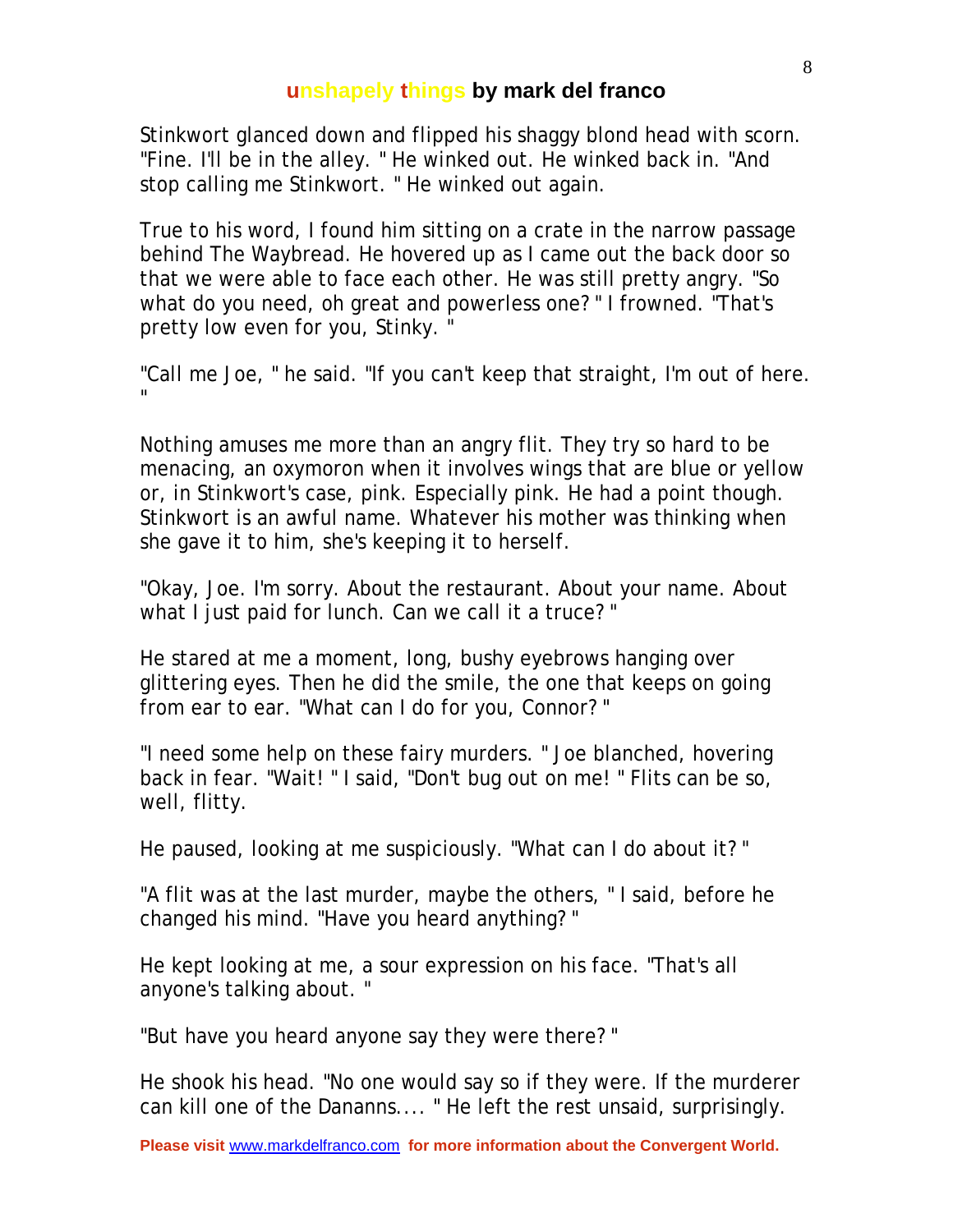Stinkwort glanced down and flipped his shaggy blond head with scorn. "Fine. I'll be in the alley. " He winked out. He winked back in. "And stop calling me Stinkwort. " He winked out again.

True to his word, I found him sitting on a crate in the narrow passage behind The Waybread. He hovered up as I came out the back door so that we were able to face each other. He was still pretty angry. "So what do you need, oh great and powerless one? " I frowned. "That's pretty low even for you, Stinky. "

"Call me Joe, " he said. "If you can't keep that straight, I'm out of here. "

Nothing amuses me more than an angry flit. They try so hard to be menacing, an oxymoron when it involves wings that are blue or yellow or, in Stinkwort's case, pink. Especially pink. He had a point though. Stinkwort is an awful name. Whatever his mother was thinking when she gave it to him, she's keeping it to herself.

"Okay, Joe. I'm sorry. About the restaurant. About your name. About what I just paid for lunch. Can we call it a truce? "

He stared at me a moment, long, bushy eyebrows hanging over glittering eyes. Then he did the smile, the one that keeps on going from ear to ear. "What can I do for you, Connor? "

"I need some help on these fairy murders. " Joe blanched, hovering back in fear. "Wait! " I said, "Don't bug out on me! " Flits can be so, well, flitty.

He paused, looking at me suspiciously. "What can I do about it? "

"A flit was at the last murder, maybe the others, " I said, before he changed his mind. "Have you heard anything? "

He kept looking at me, a sour expression on his face. "That's all anyone's talking about. "

"But have you heard anyone say they were there? "

He shook his head. "No one would say so if they were. If the murderer can kill one of the Dananns.... " He left the rest unsaid, surprisingly.

**Please visit** www.markdelfranco.com **for more information about the Convergent World.**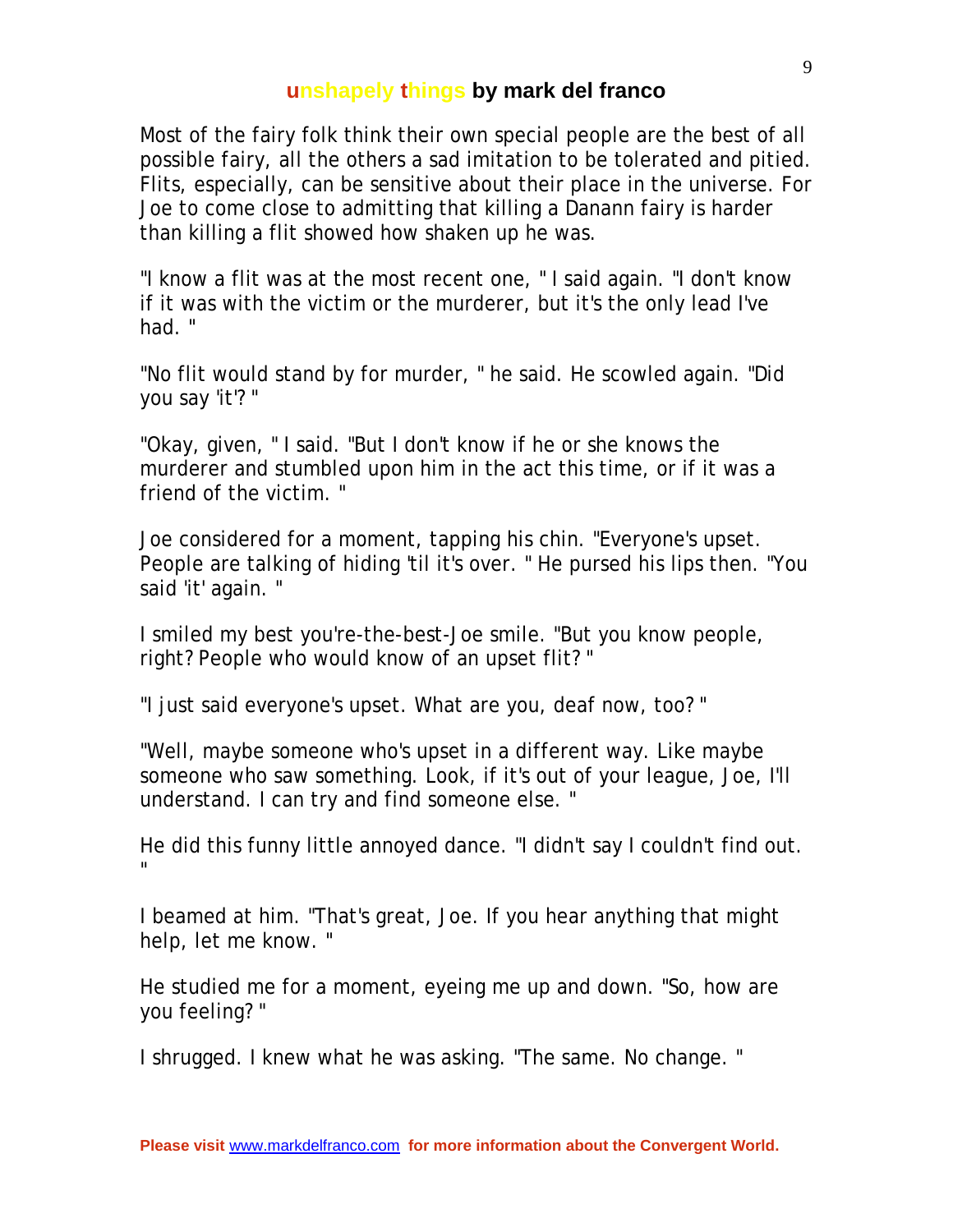Most of the fairy folk think their own special people are the best of all possible fairy, all the others a sad imitation to be tolerated and pitied. Flits, especially, can be sensitive about their place in the universe. For Joe to come close to admitting that killing a Danann fairy is harder than killing a flit showed how shaken up he was.

"I know a flit was at the most recent one, " I said again. "I don't know if it was with the victim or the murderer, but it's the only lead I've had. "

"No flit would stand by for murder, " he said. He scowled again. "Did you say 'it'? "

"Okay, given, " I said. "But I don't know if he or she knows the murderer and stumbled upon him in the act this time, or if it was a friend of the victim. "

Joe considered for a moment, tapping his chin. "Everyone's upset. People are talking of hiding 'til it's over. " He pursed his lips then. "You said 'it' again. "

I smiled my best you're-the-best-Joe smile. "But you know people, right? People who would know of an upset flit? "

"I just said everyone's upset. What are you, deaf now, too? "

"Well, maybe someone who's upset in a different way. Like maybe someone who saw something. Look, if it's out of your league, Joe, I'll understand. I can try and find someone else. "

He did this funny little annoyed dance. "I didn't say I couldn't find out. "

I beamed at him. "That's great, Joe. If you hear anything that might help, let me know. "

He studied me for a moment, eyeing me up and down. "So, how are you feeling? "

I shrugged. I knew what he was asking. "The same. No change. "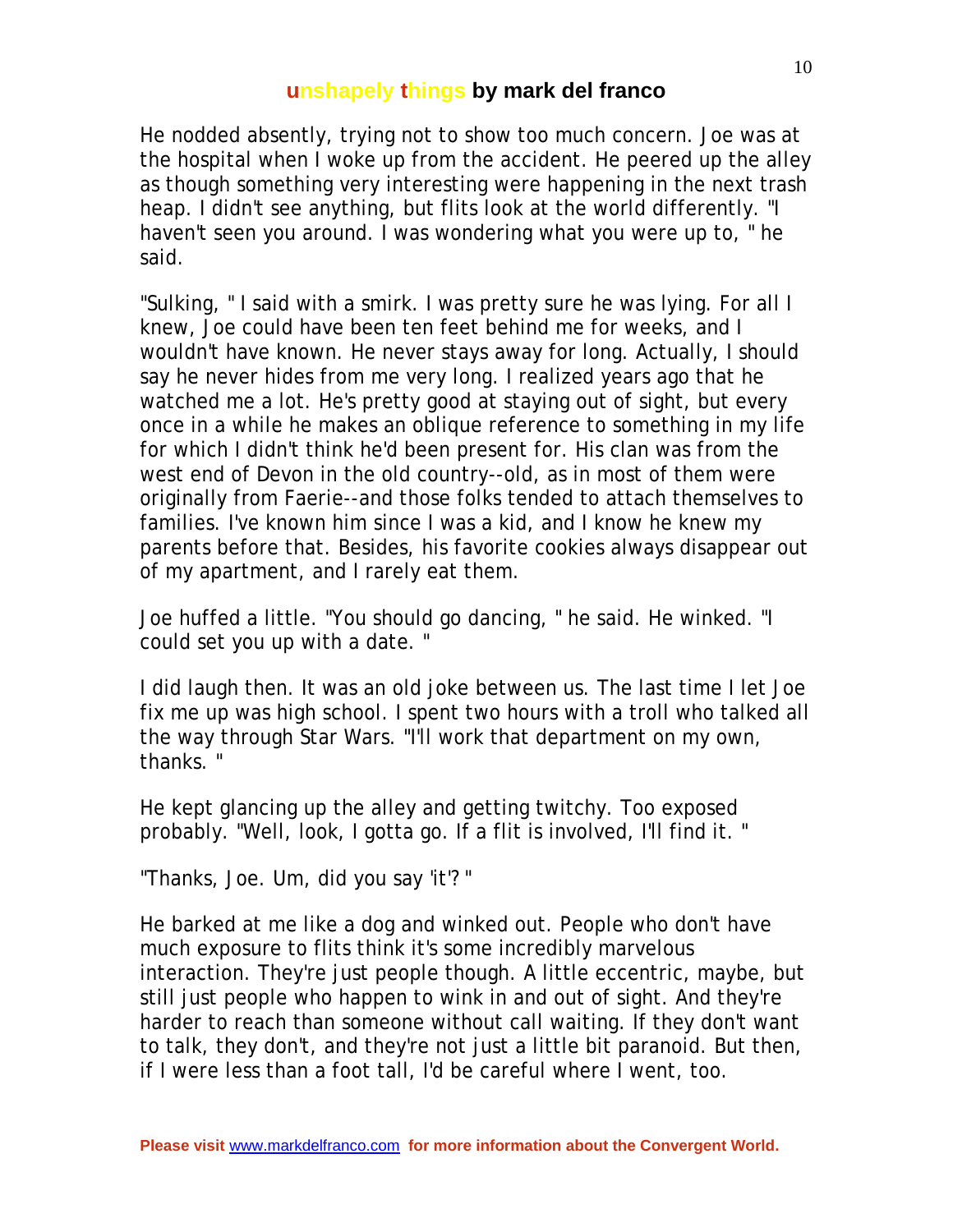He nodded absently, trying not to show too much concern. Joe was at the hospital when I woke up from the accident. He peered up the alley as though something very interesting were happening in the next trash heap. I didn't see anything, but flits look at the world differently. "I haven't seen you around. I was wondering what you were up to, " he said.

"Sulking, " I said with a smirk. I was pretty sure he was lying. For all I knew, Joe could have been ten feet behind me for weeks, and I wouldn't have known. He never stays away for long. Actually, I should say he never hides from me very long. I realized years ago that he watched me a lot. He's pretty good at staying out of sight, but every once in a while he makes an oblique reference to something in my life for which I didn't think he'd been present for. His clan was from the west end of Devon in the old country--old, as in most of them were originally from Faerie--and those folks tended to attach themselves to families. I've known him since I was a kid, and I know he knew my parents before that. Besides, his favorite cookies always disappear out of my apartment, and I rarely eat them.

Joe huffed a little. "You should go dancing, " he said. He winked. "I could set you up with a date. "

I did laugh then. It was an old joke between us. The last time I let Joe fix me up was high school. I spent two hours with a troll who talked all the way through Star Wars. "I'll work that department on my own, thanks. "

He kept glancing up the alley and getting twitchy. Too exposed probably. "Well, look, I gotta go. If a flit is involved, I'll find it. "

"Thanks, Joe. Um, did you say 'it'? "

He barked at me like a dog and winked out. People who don't have much exposure to flits think it's some incredibly marvelous interaction. They're just people though. A little eccentric, maybe, but still just people who happen to wink in and out of sight. And they're harder to reach than someone without call waiting. If they don't want to talk, they don't, and they're not just a little bit paranoid. But then, if I were less than a foot tall, I'd be careful where I went, too.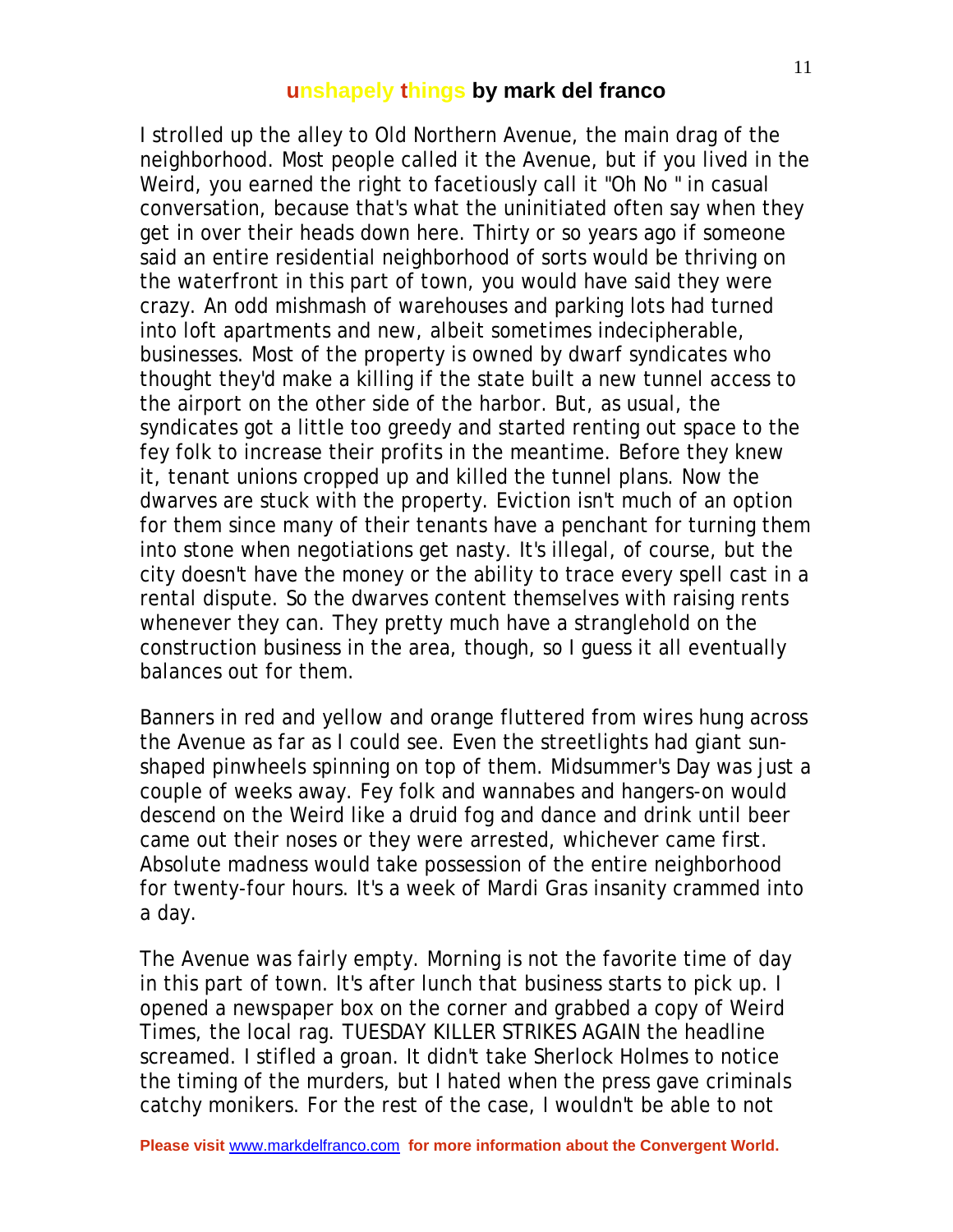I strolled up the alley to Old Northern Avenue, the main drag of the neighborhood. Most people called it the Avenue, but if you lived in the Weird, you earned the right to facetiously call it "Oh No " in casual conversation, because that's what the uninitiated often say when they get in over their heads down here. Thirty or so years ago if someone said an entire residential neighborhood of sorts would be thriving on the waterfront in this part of town, you would have said they were crazy. An odd mishmash of warehouses and parking lots had turned into loft apartments and new, albeit sometimes indecipherable, businesses. Most of the property is owned by dwarf syndicates who thought they'd make a killing if the state built a new tunnel access to the airport on the other side of the harbor. But, as usual, the syndicates got a little too greedy and started renting out space to the fey folk to increase their profits in the meantime. Before they knew it, tenant unions cropped up and killed the tunnel plans. Now the dwarves are stuck with the property. Eviction isn't much of an option for them since many of their tenants have a penchant for turning them into stone when negotiations get nasty. It's illegal, of course, but the city doesn't have the money or the ability to trace every spell cast in a rental dispute. So the dwarves content themselves with raising rents whenever they can. They pretty much have a stranglehold on the construction business in the area, though, so I guess it all eventually balances out for them.

Banners in red and yellow and orange fluttered from wires hung across the Avenue as far as I could see. Even the streetlights had giant sunshaped pinwheels spinning on top of them. Midsummer's Day was just a couple of weeks away. Fey folk and wannabes and hangers-on would descend on the Weird like a druid fog and dance and drink until beer came out their noses or they were arrested, whichever came first. Absolute madness would take possession of the entire neighborhood for twenty-four hours. It's a week of Mardi Gras insanity crammed into a day.

The Avenue was fairly empty. Morning is not the favorite time of day in this part of town. It's after lunch that business starts to pick up. I opened a newspaper box on the corner and grabbed a copy of Weird Times, the local rag. TUESDAY KILLER STRIKES AGAIN the headline screamed. I stifled a groan. It didn't take Sherlock Holmes to notice the timing of the murders, but I hated when the press gave criminals catchy monikers. For the rest of the case, I wouldn't be able to not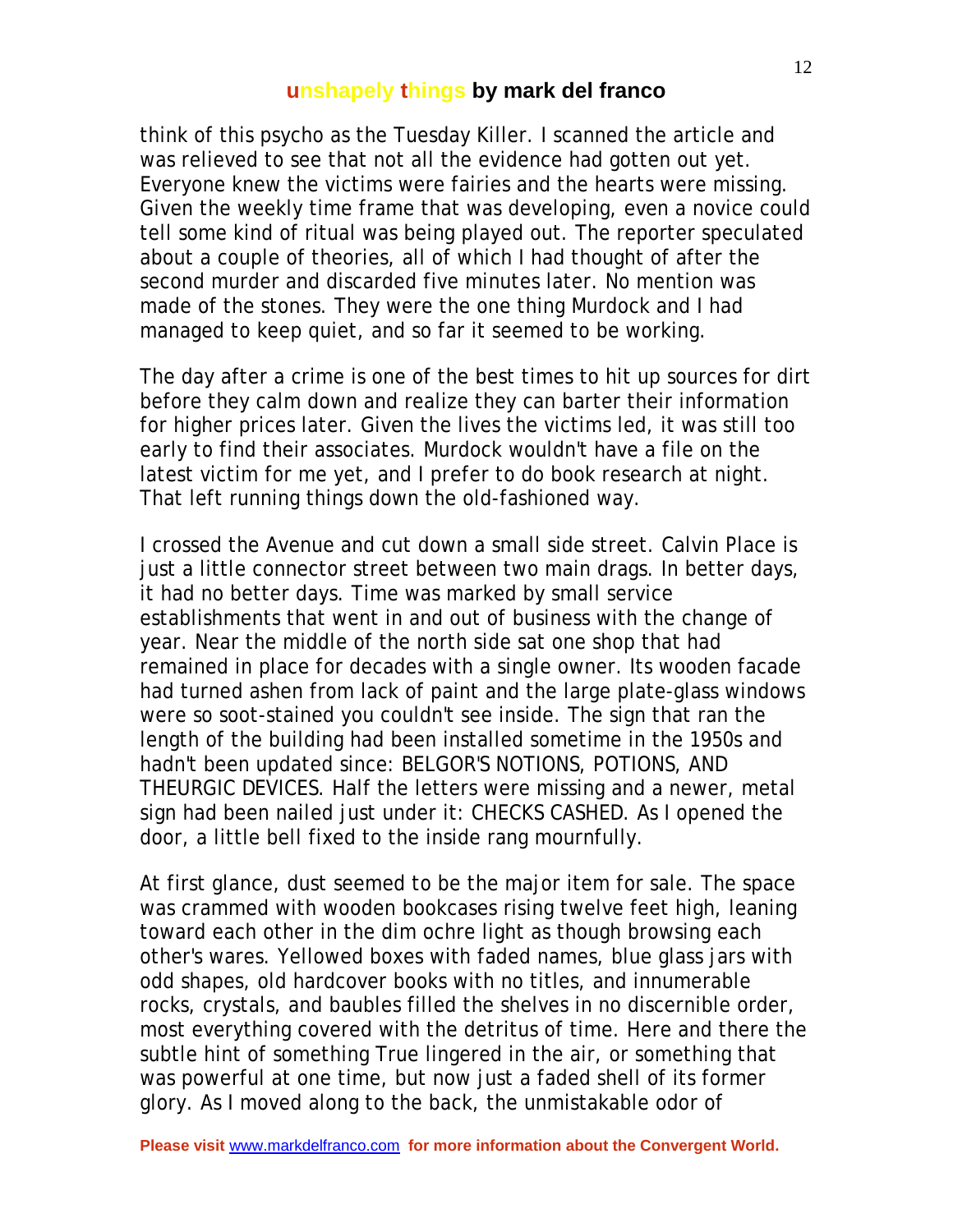think of this psycho as the Tuesday Killer. I scanned the article and was relieved to see that not all the evidence had gotten out yet. Everyone knew the victims were fairies and the hearts were missing. Given the weekly time frame that was developing, even a novice could tell some kind of ritual was being played out. The reporter speculated about a couple of theories, all of which I had thought of after the second murder and discarded five minutes later. No mention was made of the stones. They were the one thing Murdock and I had managed to keep quiet, and so far it seemed to be working.

The day after a crime is one of the best times to hit up sources for dirt before they calm down and realize they can barter their information for higher prices later. Given the lives the victims led, it was still too early to find their associates. Murdock wouldn't have a file on the latest victim for me yet, and I prefer to do book research at night. That left running things down the old-fashioned way.

I crossed the Avenue and cut down a small side street. Calvin Place is just a little connector street between two main drags. In better days, it had no better days. Time was marked by small service establishments that went in and out of business with the change of year. Near the middle of the north side sat one shop that had remained in place for decades with a single owner. Its wooden facade had turned ashen from lack of paint and the large plate-glass windows were so soot-stained you couldn't see inside. The sign that ran the length of the building had been installed sometime in the 1950s and hadn't been updated since: BELGOR'S NOTIONS, POTIONS, AND THEURGIC DEVICES. Half the letters were missing and a newer, metal sign had been nailed just under it: CHECKS CASHED. As I opened the door, a little bell fixed to the inside rang mournfully.

At first glance, dust seemed to be the major item for sale. The space was crammed with wooden bookcases rising twelve feet high, leaning toward each other in the dim ochre light as though browsing each other's wares. Yellowed boxes with faded names, blue glass jars with odd shapes, old hardcover books with no titles, and innumerable rocks, crystals, and baubles filled the shelves in no discernible order, most everything covered with the detritus of time. Here and there the subtle hint of something True lingered in the air, or something that was powerful at one time, but now just a faded shell of its former glory. As I moved along to the back, the unmistakable odor of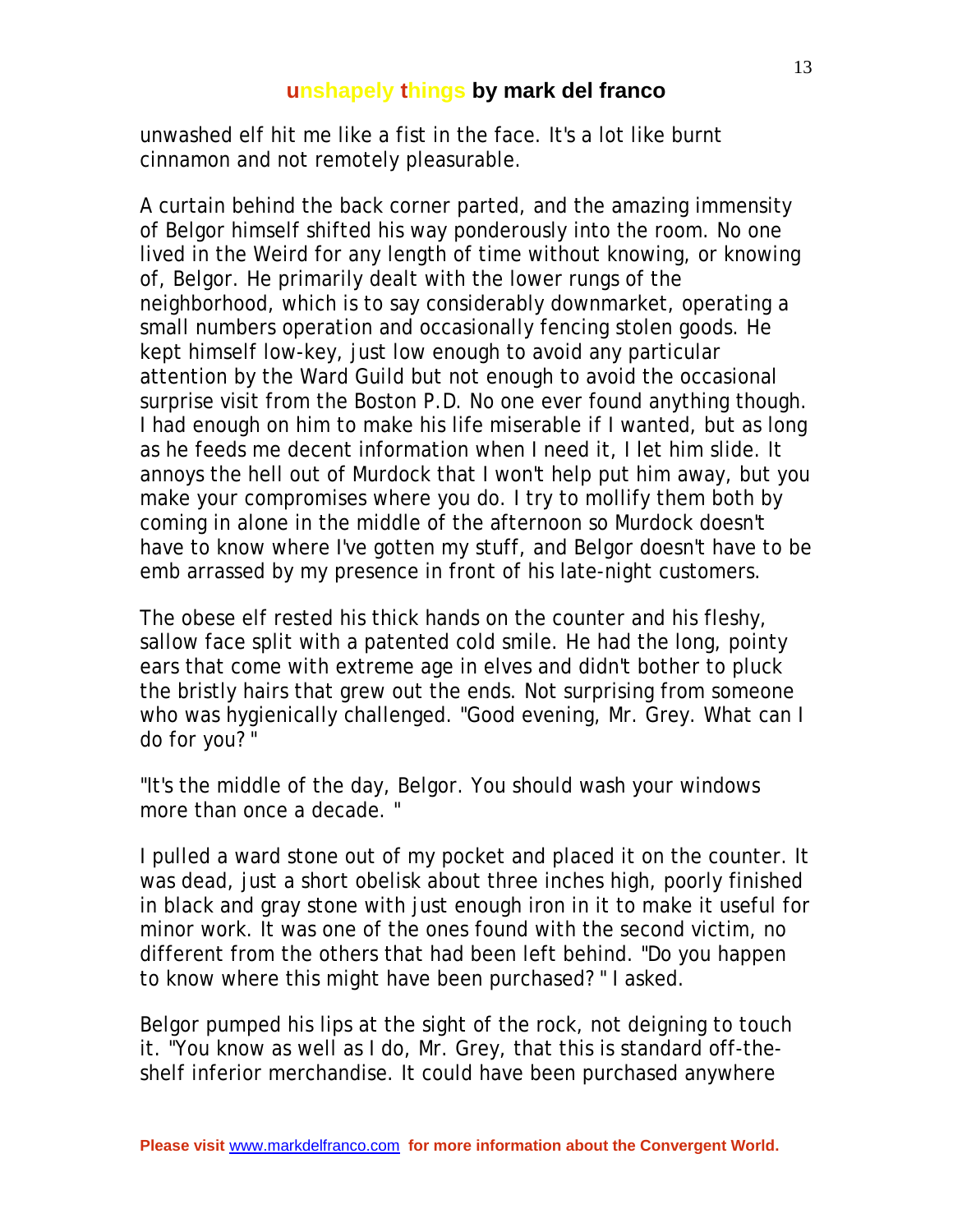unwashed elf hit me like a fist in the face. It's a lot like burnt cinnamon and not remotely pleasurable.

A curtain behind the back corner parted, and the amazing immensity of Belgor himself shifted his way ponderously into the room. No one lived in the Weird for any length of time without knowing, or knowing of, Belgor. He primarily dealt with the lower rungs of the neighborhood, which is to say considerably downmarket, operating a small numbers operation and occasionally fencing stolen goods. He kept himself low-key, just low enough to avoid any particular attention by the Ward Guild but not enough to avoid the occasional surprise visit from the Boston P.D. No one ever found anything though. I had enough on him to make his life miserable if I wanted, but as long as he feeds me decent information when I need it, I let him slide. It annoys the hell out of Murdock that I won't help put him away, but you make your compromises where you do. I try to mollify them both by coming in alone in the middle of the afternoon so Murdock doesn't have to know where I've gotten my stuff, and Belgor doesn't have to be emb arrassed by my presence in front of his late-night customers.

The obese elf rested his thick hands on the counter and his fleshy, sallow face split with a patented cold smile. He had the long, pointy ears that come with extreme age in elves and didn't bother to pluck the bristly hairs that grew out the ends. Not surprising from someone who was hygienically challenged. "Good evening, Mr. Grey. What can I do for you? "

"It's the middle of the day, Belgor. You should wash your windows more than once a decade. "

I pulled a ward stone out of my pocket and placed it on the counter. It was dead, just a short obelisk about three inches high, poorly finished in black and gray stone with just enough iron in it to make it useful for minor work. It was one of the ones found with the second victim, no different from the others that had been left behind. "Do you happen to know where this might have been purchased? " I asked.

Belgor pumped his lips at the sight of the rock, not deigning to touch it. "You know as well as I do, Mr. Grey, that this is standard off-theshelf inferior merchandise. It could have been purchased anywhere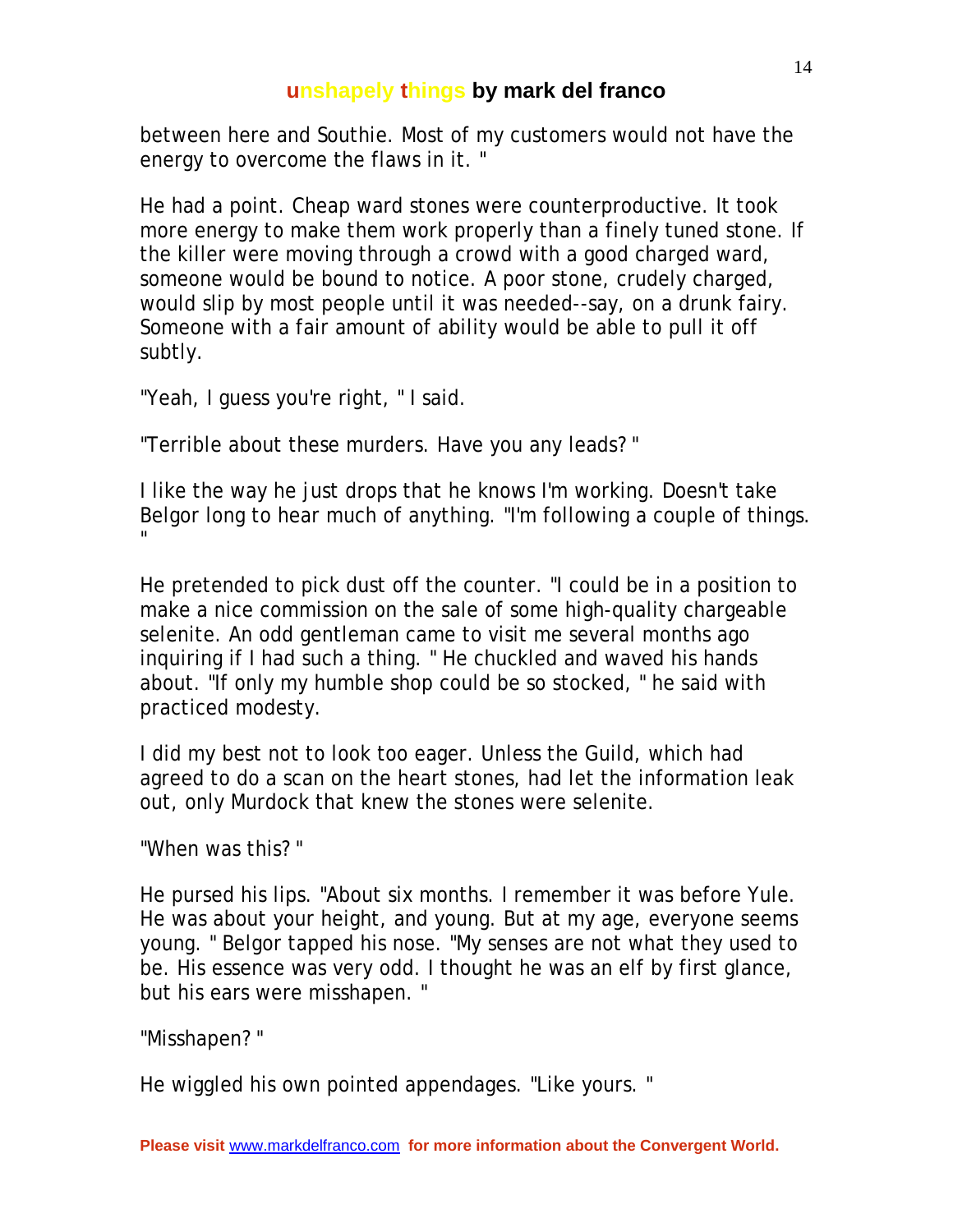between here and Southie. Most of my customers would not have the energy to overcome the flaws in it. "

He had a point. Cheap ward stones were counterproductive. It took more energy to make them work properly than a finely tuned stone. If the killer were moving through a crowd with a good charged ward, someone would be bound to notice. A poor stone, crudely charged, would slip by most people until it was needed--say, on a drunk fairy. Someone with a fair amount of ability would be able to pull it off subtly.

"Yeah, I guess you're right, " I said.

"Terrible about these murders. Have you any leads? "

I like the way he just drops that he knows I'm working. Doesn't take Belgor long to hear much of anything. "I'm following a couple of things. "

He pretended to pick dust off the counter. "I could be in a position to make a nice commission on the sale of some high-quality chargeable selenite. An odd gentleman came to visit me several months ago inquiring if I had such a thing. " He chuckled and waved his hands about. "If only my humble shop could be so stocked, " he said with practiced modesty.

I did my best not to look too eager. Unless the Guild, which had agreed to do a scan on the heart stones, had let the information leak out, only Murdock that knew the stones were selenite.

"When was this? "

He pursed his lips. "About six months. I remember it was before Yule. He was about your height, and young. But at my age, everyone seems young. " Belgor tapped his nose. "My senses are not what they used to be. His essence was very odd. I thought he was an elf by first glance, but his ears were misshapen. "

"Misshapen? "

He wiggled his own pointed appendages. "Like yours. "